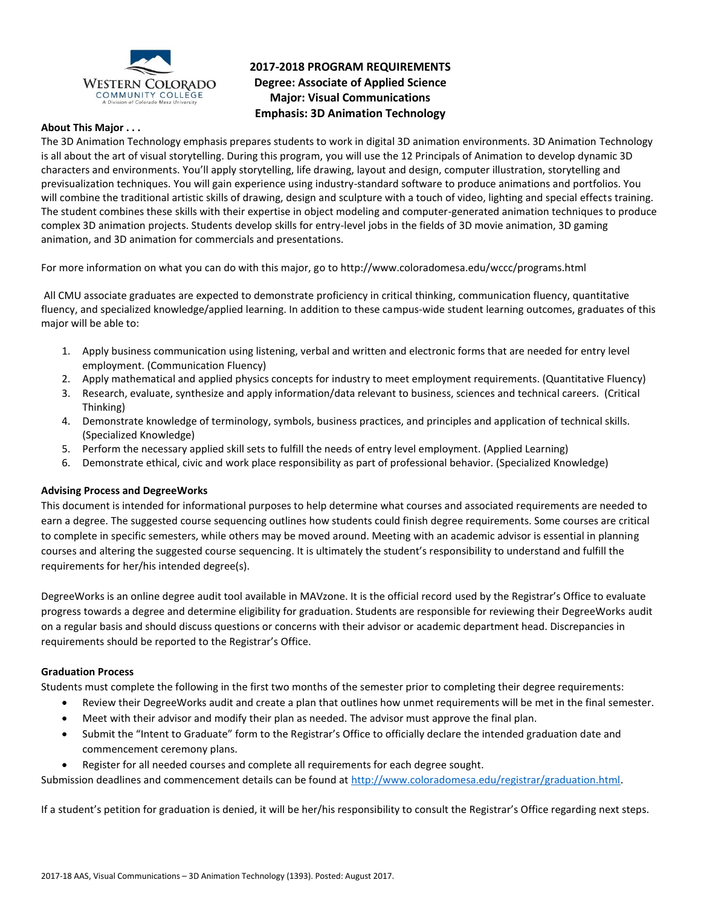

## **2017-2018 PROGRAM REQUIREMENTS Degree: Associate of Applied Science Major: Visual Communications Emphasis: 3D Animation Technology**

### **About This Major . . .**

The 3D Animation Technology emphasis prepares students to work in digital 3D animation environments. 3D Animation Technology is all about the art of visual storytelling. During this program, you will use the 12 Principals of Animation to develop dynamic 3D characters and environments. You'll apply storytelling, life drawing, layout and design, computer illustration, storytelling and previsualization techniques. You will gain experience using industry-standard software to produce animations and portfolios. You will combine the traditional artistic skills of drawing, design and sculpture with a touch of video, lighting and special effects training. The student combines these skills with their expertise in object modeling and computer-generated animation techniques to produce complex 3D animation projects. Students develop skills for entry-level jobs in the fields of 3D movie animation, 3D gaming animation, and 3D animation for commercials and presentations.

For more information on what you can do with this major, go to http://www.coloradomesa.edu/wccc/programs.html

All CMU associate graduates are expected to demonstrate proficiency in critical thinking, communication fluency, quantitative fluency, and specialized knowledge/applied learning. In addition to these campus-wide student learning outcomes, graduates of this major will be able to:

- 1. Apply business communication using listening, verbal and written and electronic forms that are needed for entry level employment. (Communication Fluency)
- 2. Apply mathematical and applied physics concepts for industry to meet employment requirements. (Quantitative Fluency)
- 3. Research, evaluate, synthesize and apply information/data relevant to business, sciences and technical careers. (Critical Thinking)
- 4. Demonstrate knowledge of terminology, symbols, business practices, and principles and application of technical skills. (Specialized Knowledge)
- 5. Perform the necessary applied skill sets to fulfill the needs of entry level employment. (Applied Learning)
- 6. Demonstrate ethical, civic and work place responsibility as part of professional behavior. (Specialized Knowledge)

## **Advising Process and DegreeWorks**

This document is intended for informational purposes to help determine what courses and associated requirements are needed to earn a degree. The suggested course sequencing outlines how students could finish degree requirements. Some courses are critical to complete in specific semesters, while others may be moved around. Meeting with an academic advisor is essential in planning courses and altering the suggested course sequencing. It is ultimately the student's responsibility to understand and fulfill the requirements for her/his intended degree(s).

DegreeWorks is an online degree audit tool available in MAVzone. It is the official record used by the Registrar's Office to evaluate progress towards a degree and determine eligibility for graduation. Students are responsible for reviewing their DegreeWorks audit on a regular basis and should discuss questions or concerns with their advisor or academic department head. Discrepancies in requirements should be reported to the Registrar's Office.

#### **Graduation Process**

Students must complete the following in the first two months of the semester prior to completing their degree requirements:

- Review their DegreeWorks audit and create a plan that outlines how unmet requirements will be met in the final semester.
- Meet with their advisor and modify their plan as needed. The advisor must approve the final plan.
- Submit the "Intent to Graduate" form to the Registrar's Office to officially declare the intended graduation date and commencement ceremony plans.
- Register for all needed courses and complete all requirements for each degree sought.

Submission deadlines and commencement details can be found at [http://www.coloradomesa.edu/registrar/graduation.html.](http://www.coloradomesa.edu/registrar/graduation.html)

If a student's petition for graduation is denied, it will be her/his responsibility to consult the Registrar's Office regarding next steps.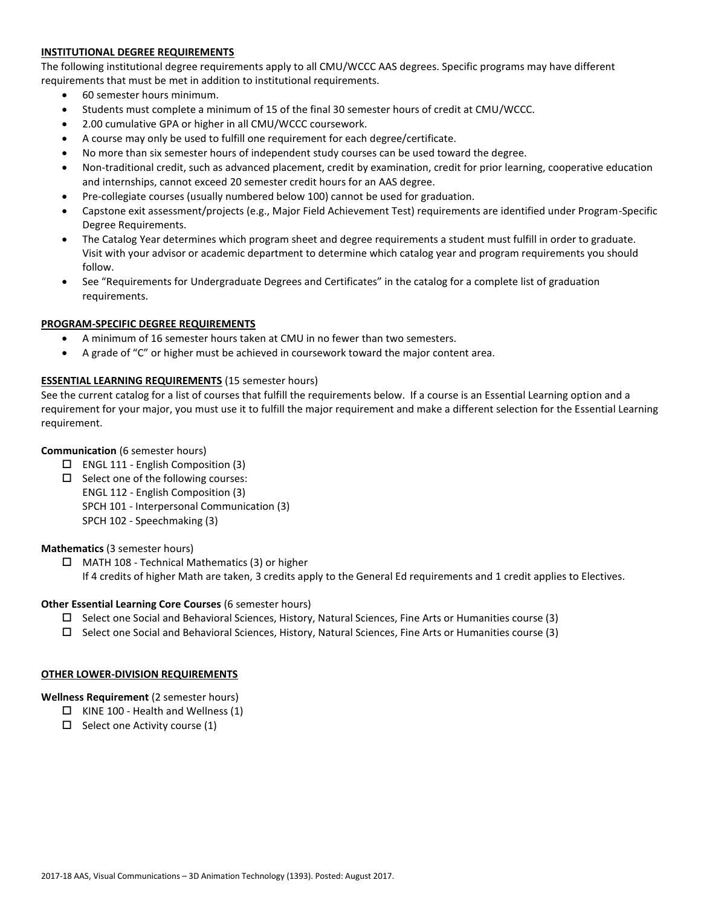## **INSTITUTIONAL DEGREE REQUIREMENTS**

The following institutional degree requirements apply to all CMU/WCCC AAS degrees. Specific programs may have different requirements that must be met in addition to institutional requirements.

- 60 semester hours minimum.
- Students must complete a minimum of 15 of the final 30 semester hours of credit at CMU/WCCC.
- 2.00 cumulative GPA or higher in all CMU/WCCC coursework.
- A course may only be used to fulfill one requirement for each degree/certificate.
- No more than six semester hours of independent study courses can be used toward the degree.
- Non-traditional credit, such as advanced placement, credit by examination, credit for prior learning, cooperative education and internships, cannot exceed 20 semester credit hours for an AAS degree.
- Pre-collegiate courses (usually numbered below 100) cannot be used for graduation.
- Capstone exit assessment/projects (e.g., Major Field Achievement Test) requirements are identified under Program-Specific Degree Requirements.
- The Catalog Year determines which program sheet and degree requirements a student must fulfill in order to graduate. Visit with your advisor or academic department to determine which catalog year and program requirements you should follow.
- See "Requirements for Undergraduate Degrees and Certificates" in the catalog for a complete list of graduation requirements.

## **PROGRAM-SPECIFIC DEGREE REQUIREMENTS**

- A minimum of 16 semester hours taken at CMU in no fewer than two semesters.
- A grade of "C" or higher must be achieved in coursework toward the major content area.

### **ESSENTIAL LEARNING REQUIREMENTS** (15 semester hours)

See the current catalog for a list of courses that fulfill the requirements below. If a course is an Essential Learning option and a requirement for your major, you must use it to fulfill the major requirement and make a different selection for the Essential Learning requirement.

## **Communication** (6 semester hours)

- $\Box$  ENGL 111 English Composition (3)
- $\square$  Select one of the following courses: ENGL 112 - English Composition (3) SPCH 101 - Interpersonal Communication (3) SPCH 102 - Speechmaking (3)

#### **Mathematics** (3 semester hours)

 $\Box$  MATH 108 - Technical Mathematics (3) or higher If 4 credits of higher Math are taken, 3 credits apply to the General Ed requirements and 1 credit applies to Electives.

## **Other Essential Learning Core Courses** (6 semester hours)

- $\square$  Select one Social and Behavioral Sciences, History, Natural Sciences, Fine Arts or Humanities course (3)
- $\square$  Select one Social and Behavioral Sciences, History, Natural Sciences, Fine Arts or Humanities course (3)

#### **OTHER LOWER-DIVISION REQUIREMENTS**

## **Wellness Requirement** (2 semester hours)

- $\Box$  KINE 100 Health and Wellness (1)
- $\Box$  Select one Activity course (1)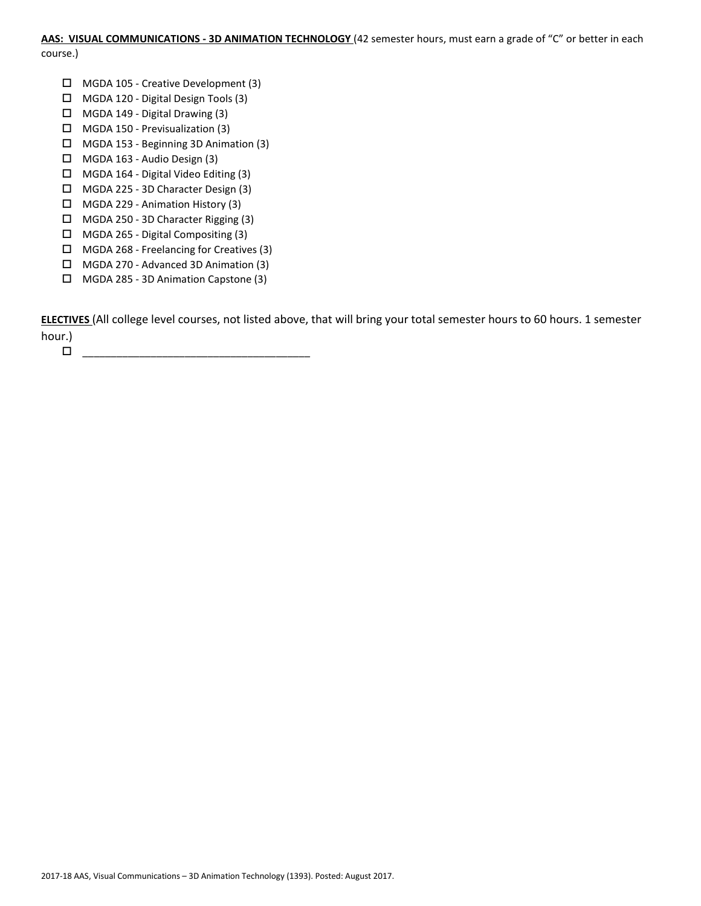# **AAS: VISUAL COMMUNICATIONS - 3D ANIMATION TECHNOLOGY** (42 semester hours, must earn a grade of "C" or better in each

course.)

- MGDA 105 Creative Development (3)
- MGDA 120 Digital Design Tools (3)
- MGDA 149 Digital Drawing (3)
- $\Box$  MGDA 150 Previsualization (3)
- MGDA 153 Beginning 3D Animation (3)
- $\Box$  MGDA 163 Audio Design (3)
- $\Box$  MGDA 164 Digital Video Editing (3)
- MGDA 225 3D Character Design (3)
- MGDA 229 Animation History (3)
- MGDA 250 3D Character Rigging (3)
- $\Box$  MGDA 265 Digital Compositing (3)
- MGDA 268 Freelancing for Creatives (3)
- MGDA 270 Advanced 3D Animation (3)
- MGDA 285 3D Animation Capstone (3)

**ELECTIVES** (All college level courses, not listed above, that will bring your total semester hours to 60 hours. 1 semester hour.)

\_\_\_\_\_\_\_\_\_\_\_\_\_\_\_\_\_\_\_\_\_\_\_\_\_\_\_\_\_\_\_\_\_\_\_\_\_\_\_\_